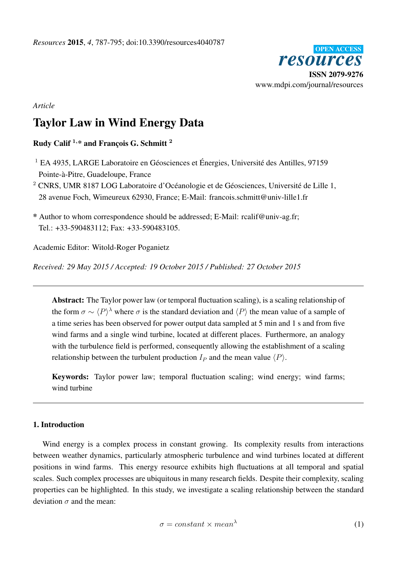

# *Article*

# Taylor Law in Wind Energy Data

# Rudy Calif  $1, *$  and Francois G. Schmitt  $2$

<sup>1</sup> EA 4935, LARGE Laboratoire en Géosciences et Énergies, Université des Antilles, 97159 Pointe-à-Pitre, Guadeloupe, France

<sup>2</sup> CNRS, UMR 8187 LOG Laboratoire d'Océanologie et de Géosciences, Université de Lille 1, 28 avenue Foch, Wimeureux 62930, France; E-Mail: francois.schmitt@univ-lille1.fr

\* Author to whom correspondence should be addressed; E-Mail: rcalif@univ-ag.fr; Tel.: +33-590483112; Fax: +33-590483105.

Academic Editor: Witold-Roger Poganietz

*Received: 29 May 2015 / Accepted: 19 October 2015 / Published: 27 October 2015*

Abstract: The Taylor power law (or temporal fluctuation scaling), is a scaling relationship of the form  $\sigma \sim \langle P \rangle^{\lambda}$  where  $\sigma$  is the standard deviation and  $\langle P \rangle$  the mean value of a sample of a time series has been observed for power output data sampled at 5 min and 1 s and from five wind farms and a single wind turbine, located at different places. Furthermore, an analogy with the turbulence field is performed, consequently allowing the establishment of a scaling relationship between the turbulent production  $I_P$  and the mean value  $\langle P \rangle$ .

Keywords: Taylor power law; temporal fluctuation scaling; wind energy; wind farms; wind turbine

#### 1. Introduction

Wind energy is a complex process in constant growing. Its complexity results from interactions between weather dynamics, particularly atmospheric turbulence and wind turbines located at different positions in wind farms. This energy resource exhibits high fluctuations at all temporal and spatial scales. Such complex processes are ubiquitous in many research fields. Despite their complexity, scaling properties can be highlighted. In this study, we investigate a scaling relationship between the standard deviation  $\sigma$  and the mean:

$$
\sigma = constant \times mean^{\lambda} \tag{1}
$$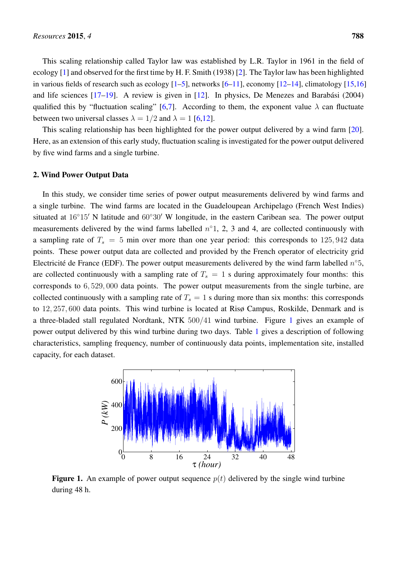This scaling relationship called Taylor law was established by L.R. Taylor in 1961 in the field of ecology [\[1\]](#page-7-0) and observed for the first time by H. F. Smith (1938) [\[2\]](#page-7-1). The Taylor law has been highlighted in various fields of research such as ecology  $[1-5]$  $[1-5]$ , networks  $[6-11]$  $[6-11]$ , economy  $[12-14]$  $[12-14]$ , climatology  $[15,16]$  $[15,16]$ and life sciences [\[17–](#page-7-9)[19\]](#page-8-0). A review is given in [\[12\]](#page-7-5). In physics, De Menezes and Barabási (2004) qualified this by "fluctuation scaling" [\[6](#page-7-3)[,7\]](#page-7-10). According to them, the exponent value  $\lambda$  can fluctuate between two universal classes  $\lambda = 1/2$  and  $\lambda = 1$  [\[6,](#page-7-3)[12\]](#page-7-5).

This scaling relationship has been highlighted for the power output delivered by a wind farm [\[20\]](#page-8-1). Here, as an extension of this early study, fluctuation scaling is investigated for the power output delivered by five wind farms and a single turbine.

#### 2. Wind Power Output Data

In this study, we consider time series of power output measurements delivered by wind farms and a single turbine. The wind farms are located in the Guadeloupean Archipelago (French West Indies) situated at  $16°15'$  N latitude and  $60°30'$  W longitude, in the eastern Caribean sea. The power output measurements delivered by the wind farms labelled  $n^{\circ}1$ , 2, 3 and 4, are collected continuously with a sampling rate of  $T_s = 5$  min over more than one year period: this corresponds to 125,942 data points. These power output data are collected and provided by the French operator of electricity grid Electricité de France (EDF). The power output measurements delivered by the wind farm labelled  $n^{\circ}5$ , are collected continuously with a sampling rate of  $T_s = 1$  s during approximately four months: this corresponds to 6, 529, 000 data points. The power output measurements from the single turbine, are collected continuously with a sampling rate of  $T_s = 1$  s during more than six months: this corresponds to 12, 257, 600 data points. This wind turbine is located at Risø Campus, Roskilde, Denmark and is a three-bladed stall regulated Nordtank, NTK 500/41 wind turbine. Figure [1](#page-1-0) gives an example of power output delivered by this wind turbine during two days. Table [1](#page-2-0) gives a description of following characteristics, sampling frequency, number of continuously data points, implementation site, installed capacity, for each dataset.

<span id="page-1-0"></span>

**Figure 1.** An example of power output sequence  $p(t)$  delivered by the single wind turbine during 48 h.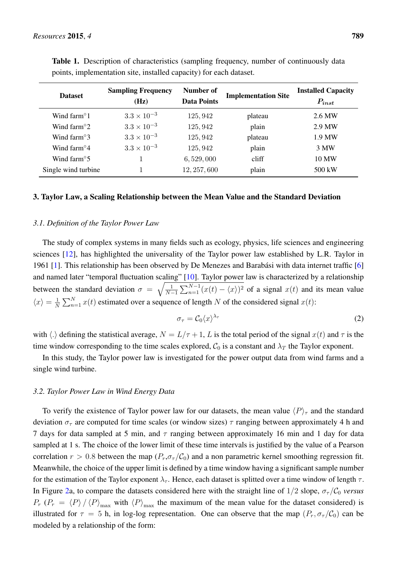| <b>Dataset</b>        | <b>Sampling Frequency</b><br>(Hz) | Number of<br><b>Data Points</b> | <b>Implementation Site</b> | <b>Installed Capacity</b><br>$P_{inst}$ |
|-----------------------|-----------------------------------|---------------------------------|----------------------------|-----------------------------------------|
| Wind farm $\degree$ 1 | $3.3 \times 10^{-3}$              | 125, 942                        | plateau                    | 2.6 MW                                  |
| Wind farm $\degree$ 2 | $3.3 \times 10^{-3}$              | 125, 942                        | plain                      | 2.9 MW                                  |
| Wind farm $\degree$ 3 | $3.3 \times 10^{-3}$              | 125, 942                        | plateau                    | 1.9 MW                                  |
| Wind farm $\degree$ 4 | $3.3 \times 10^{-3}$              | 125, 942                        | plain                      | 3 MW                                    |
| Wind farm $\degree$ 5 | 1                                 | 6,529,000                       | cliff                      | 10 MW                                   |
| Single wind turbine   |                                   | 12, 257, 600                    | plain                      | 500 kW                                  |

<span id="page-2-0"></span>Table 1. Description of characteristics (sampling frequency, number of continuously data points, implementation site, installed capacity) for each dataset.

#### 3. Taylor Law, a Scaling Relationship between the Mean Value and the Standard Deviation

#### *3.1. Definition of the Taylor Power Law*

The study of complex systems in many fields such as ecology, physics, life sciences and engineering sciences [\[12\]](#page-7-5), has highlighted the universality of the Taylor power law established by L.R. Taylor in 1961 [\[1\]](#page-7-0). This relationship has been observed by De Menezes and Barabási with data internet traffic [\[6\]](#page-7-3) and named later "temporal fluctuation scaling" [\[10\]](#page-7-11). Taylor power law is characterized by a relationship between the standard deviation  $\sigma = \sqrt{\frac{1}{N-1}}$  $\frac{1}{N-1} \sum_{n=1}^{N-1} (x(t) - \langle x \rangle)^2$  of a signal  $x(t)$  and its mean value  $\langle x \rangle = \frac{1}{\lambda}$  $\frac{1}{N} \sum_{n=1}^{N} x(t)$  estimated over a sequence of length N of the considered signal  $x(t)$ :

$$
\sigma_{\tau} = \mathcal{C}_0 \langle x \rangle^{\lambda_{\tau}} \tag{2}
$$

with  $\langle \cdot \rangle$  defining the statistical average,  $N = L/\tau + 1$ , L is the total period of the signal  $x(t)$  and  $\tau$  is the time window corresponding to the time scales explored,  $C_0$  is a constant and  $\lambda_T$  the Taylor exponent.

In this study, the Taylor power law is investigated for the power output data from wind farms and a single wind turbine.

#### *3.2. Taylor Power Law in Wind Energy Data*

To verify the existence of Taylor power law for our datasets, the mean value  $\langle P \rangle_{\tau}$  and the standard deviation  $\sigma_{\tau}$  are computed for time scales (or window sizes)  $\tau$  ranging between approximately 4 h and 7 days for data sampled at 5 min, and  $\tau$  ranging between approximately 16 min and 1 day for data sampled at 1 s. The choice of the lower limit of these time intervals is justified by the value of a Pearson correlation  $r > 0.8$  between the map  $(P_r, \sigma_\tau / C_0)$  and a non parametric kernel smoothing regression fit. Meanwhile, the choice of the upper limit is defined by a time window having a significant sample number for the estimation of the Taylor exponent  $\lambda_{\tau}$ . Hence, each dataset is splitted over a time window of length  $\tau$ . In Figure [2a](#page-3-0), to compare the datasets considered here with the straight line of  $1/2$  slope,  $\sigma_{\tau}/\mathcal{C}_0$  *versus*  $P_r$  ( $P_r = \langle P \rangle / \langle P \rangle_{\text{max}}$  with  $\langle P \rangle_{\text{max}}$  the maximum of the mean value for the dataset considered) is illustrated for  $\tau = 5$  h, in log-log representation. One can observe that the map  $(P_r, \sigma_\tau/\mathcal{C}_0)$  can be modeled by a relationship of the form: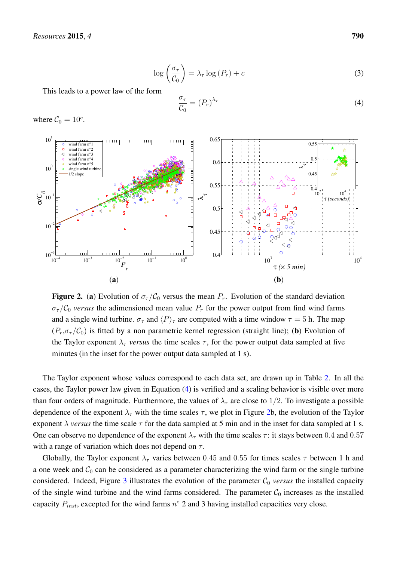$$
\log\left(\frac{\sigma_{\tau}}{\mathcal{C}_0}\right) = \lambda_{\tau} \log\left(P_r\right) + c \tag{3}
$$

This leads to a power law of the form

<span id="page-3-1"></span>
$$
\frac{\sigma_{\tau}}{\mathcal{C}_0} = (P_r)^{\lambda_{\tau}}
$$
\n(4)

where  $C_0 = 10^c$ .

<span id="page-3-0"></span>

**Figure 2.** (a) Evolution of  $\sigma_{\tau}/\mathcal{C}_0$  versus the mean  $P_r$ . Evolution of the standard deviation  $\sigma_{\tau}/\mathcal{C}_0$  *versus* the adimensioned mean value  $P_r$  for the power output from find wind farms and a single wind turbine.  $\sigma_{\tau}$  and  $\langle P \rangle_{\tau}$  are computed with a time window  $\tau = 5$  h. The map  $(P_r, \sigma_\tau/\mathcal{C}_0)$  is fitted by a non parametric kernel regression (straight line); (b) Evolution of the Taylor exponent  $\lambda_{\tau}$  *versus* the time scales  $\tau$ , for the power output data sampled at five minutes (in the inset for the power output data sampled at 1 s).

The Taylor exponent whose values correspond to each data set, are drawn up in Table [2.](#page-4-0) In all the cases, the Taylor power law given in Equation [\(4\)](#page-3-1) is verified and a scaling behavior is visible over more than four orders of magnitude. Furthermore, the values of  $\lambda_{\tau}$  are close to 1/2. To investigate a possible dependence of the exponent  $\lambda_{\tau}$  with the time scales  $\tau$ , we plot in Figure [2b](#page-3-0), the evolution of the Taylor exponent  $\lambda$  *versus* the time scale  $\tau$  for the data sampled at 5 min and in the inset for data sampled at 1 s. One can observe no dependence of the exponent  $\lambda_{\tau}$  with the time scales  $\tau$ : it stays between 0.4 and 0.57 with a range of variation which does not depend on  $\tau$ .

Globally, the Taylor exponent  $\lambda_{\tau}$  varies between 0.45 and 0.55 for times scales  $\tau$  between 1 h and a one week and  $C_0$  can be considered as a parameter characterizing the wind farm or the single turbine considered. Indeed, Figure  $3$  illustrates the evolution of the parameter  $C_0$  *versus* the installed capacity of the single wind turbine and the wind farms considered. The parameter  $C_0$  increases as the installed capacity  $P_{inst}$ , excepted for the wind farms  $n^{\circ}$  2 and 3 having installed capacities very close.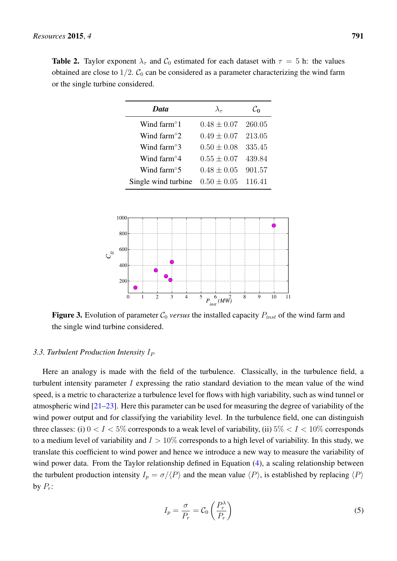<span id="page-4-0"></span>**Table 2.** Taylor exponent  $\lambda_{\tau}$  and  $\mathcal{C}_0$  estimated for each dataset with  $\tau = 5$  h: the values obtained are close to  $1/2$ .  $C_0$  can be considered as a parameter characterizing the wind farm or the single turbine considered.

| <b>Data</b>           | $\lambda_\tau$         | $\mathcal{C}_{\mathbf{0}}$ |
|-----------------------|------------------------|----------------------------|
| Wind farm $\degree$ 1 | $0.48 \pm 0.07$ 260.05 |                            |
| Wind farm $\degree$ 2 | $0.49 \pm 0.07$ 213.05 |                            |
| Wind farm $\degree$ 3 | $0.50 \pm 0.08$        | 335.45                     |
| Wind farm $\degree$ 4 | $0.55 \pm 0.07$        | 439.84                     |
| Wind farm $\degree$ 5 | $0.48 \pm 0.05$        | 901.57                     |
| Single wind turbine   | $0.50 \pm 0.05$        | 116.41                     |

<span id="page-4-1"></span>

**Figure 3.** Evolution of parameter  $C_0$  *versus* the installed capacity  $P_{inst}$  of the wind farm and the single wind turbine considered.

#### 3.3. Turbulent Production Intensity I<sub>P</sub>

Here an analogy is made with the field of the turbulence. Classically, in the turbulence field, a turbulent intensity parameter  $I$  expressing the ratio standard deviation to the mean value of the wind speed, is a metric to characterize a turbulence level for flows with high variability, such as wind tunnel or atmospheric wind [\[21–](#page-8-2)[23\]](#page-8-3). Here this parameter can be used for measuring the degree of variability of the wind power output and for classifying the variability level. In the turbulence field, one can distinguish three classes: (i)  $0 < I < 5\%$  corresponds to a weak level of variability, (ii)  $5\% < I < 10\%$  corresponds to a medium level of variability and  $I > 10\%$  corresponds to a high level of variability. In this study, we translate this coefficient to wind power and hence we introduce a new way to measure the variability of wind power data. From the Taylor relationship defined in Equation [\(4\)](#page-3-1), a scaling relationship between the turbulent production intensity  $I_p = \sigma / \langle P \rangle$  and the mean value  $\langle P \rangle$ , is established by replacing  $\langle P \rangle$ by  $P_r$ :

$$
I_p = \frac{\sigma}{P_r} = \mathcal{C}_0 \left(\frac{P_r^{\lambda}}{P_r}\right) \tag{5}
$$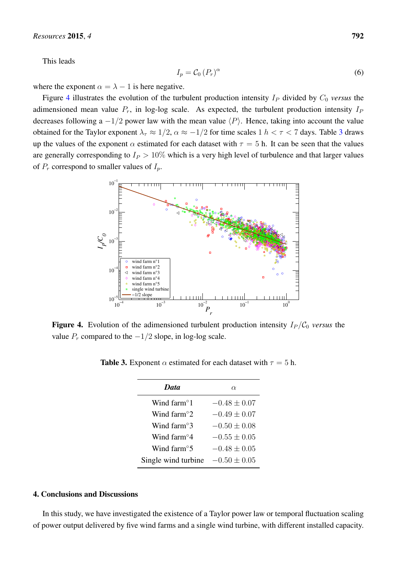This leads

$$
I_p = \mathcal{C}_0 \left( P_r \right)^{\alpha} \tag{6}
$$

where the exponent  $\alpha = \lambda - 1$  is here negative.

Figure [4](#page-5-0) illustrates the evolution of the turbulent production intensity  $I<sub>P</sub>$  divided by  $C<sub>0</sub>$  *versus* the adimensioned mean value  $P_r$ , in log-log scale. As expected, the turbulent production intensity  $I_P$ decreases following a  $-1/2$  power law with the mean value  $\langle P \rangle$ . Hence, taking into account the value obtained for the Taylor exponent  $\lambda_\tau \approx 1/2$ ,  $\alpha \approx -1/2$  for time scales 1  $h < \tau < 7$  days. Table [3](#page-5-1) draws up the values of the exponent  $\alpha$  estimated for each dataset with  $\tau = 5$  h. It can be seen that the values are generally corresponding to  $I_P > 10\%$  which is a very high level of turbulence and that larger values of  $P_r$  correspond to smaller values of  $I_p$ .

<span id="page-5-0"></span>

<span id="page-5-1"></span>**Figure 4.** Evolution of the adimensioned turbulent production intensity  $I_P/C_0$  *versus* the value  $P_r$  compared to the  $−1/2$  slope, in log-log scale.

**Table 3.** Exponent  $\alpha$  estimated for each dataset with  $\tau = 5$  h.

| Data                     | $\alpha$         |  |
|--------------------------|------------------|--|
| Wind farm <sup>o</sup> 1 | $-0.48 \pm 0.07$ |  |
| Wind farm <sup>o</sup> 2 | $-0.49 + 0.07$   |  |
| Wind farm <sup>o</sup> 3 | $-0.50 + 0.08$   |  |
| Wind farm <sup>o</sup> 4 | $-0.55 \pm 0.05$ |  |
| Wind farm <sup>o</sup> 5 | $-0.48 \pm 0.05$ |  |
| Single wind turbine      | $-0.50 \pm 0.05$ |  |

# 4. Conclusions and Discussions

In this study, we have investigated the existence of a Taylor power law or temporal fluctuation scaling of power output delivered by five wind farms and a single wind turbine, with different installed capacity.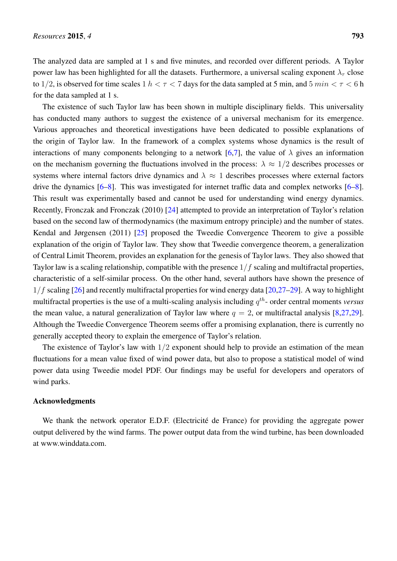The analyzed data are sampled at 1 s and five minutes, and recorded over different periods. A Taylor power law has been highlighted for all the datasets. Furthermore, a universal scaling exponent  $\lambda_{\tau}$  close to 1/2, is observed for time scales  $1 h < \tau < 7$  days for the data sampled at 5 min, and 5 min  $< \tau < 6$  h for the data sampled at 1 s.

The existence of such Taylor law has been shown in multiple disciplinary fields. This universality has conducted many authors to suggest the existence of a universal mechanism for its emergence. Various approaches and theoretical investigations have been dedicated to possible explanations of the origin of Taylor law. In the framework of a complex systems whose dynamics is the result of interactions of many components belonging to a network [\[6,](#page-7-3)[7\]](#page-7-10), the value of  $\lambda$  gives an information on the mechanism governing the fluctuations involved in the process:  $\lambda \approx 1/2$  describes processes or systems where internal factors drive dynamics and  $\lambda \approx 1$  describes processes where external factors drive the dynamics [\[6–](#page-7-3)[8\]](#page-7-12). This was investigated for internet traffic data and complex networks [\[6–](#page-7-3)[8\]](#page-7-12). This result was experimentally based and cannot be used for understanding wind energy dynamics. Recently, Fronczak and Fronczak (2010) [\[24\]](#page-8-4) attempted to provide an interpretation of Taylor's relation based on the second law of thermodynamics (the maximum entropy principle) and the number of states. Kendal and Jørgensen (2011) [\[25\]](#page-8-5) proposed the Tweedie Convergence Theorem to give a possible explanation of the origin of Taylor law. They show that Tweedie convergence theorem, a generalization of Central Limit Theorem, provides an explanation for the genesis of Taylor laws. They also showed that Taylor law is a scaling relationship, compatible with the presence  $1/f$  scaling and multifractal properties, characteristic of a self-similar process. On the other hand, several authors have shown the presence of  $1/f$  scaling [\[26\]](#page-8-6) and recently multifractal properties for wind energy data [\[20](#page-8-1)[,27](#page-8-7)[–29\]](#page-8-8). A way to highlight multifractal properties is the use of a multi-scaling analysis including q th- order central moments *versus* the mean value, a natural generalization of Taylor law where  $q = 2$ , or multifractal analysis [\[8,](#page-7-12)[27,](#page-8-7)[29\]](#page-8-8). Although the Tweedie Convergence Theorem seems offer a promising explanation, there is currently no generally accepted theory to explain the emergence of Taylor's relation.

The existence of Taylor's law with  $1/2$  exponent should help to provide an estimation of the mean fluctuations for a mean value fixed of wind power data, but also to propose a statistical model of wind power data using Tweedie model PDF. Our findings may be useful for developers and operators of wind parks.

### Acknowledgments

We thank the network operator E.D.F. (Electricité de France) for providing the aggregate power output delivered by the wind farms. The power output data from the wind turbine, has been downloaded at www.winddata.com.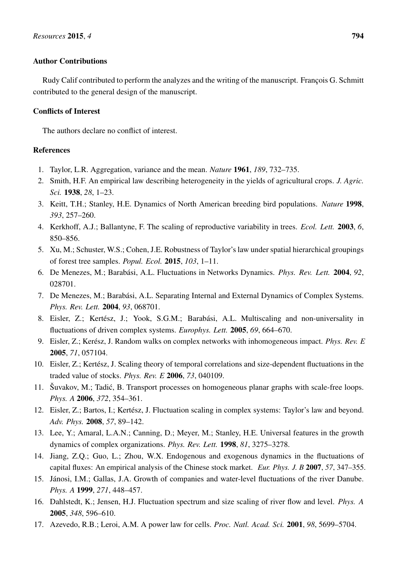# Author Contributions

Rudy Calif contributed to perform the analyzes and the writing of the manuscript. François G. Schmitt contributed to the general design of the manuscript.

# Conflicts of Interest

The authors declare no conflict of interest.

# References

- <span id="page-7-0"></span>1. Taylor, L.R. Aggregation, variance and the mean. *Nature* 1961, *189*, 732–735.
- <span id="page-7-1"></span>2. Smith, H.F. An empirical law describing heterogeneity in the yields of agricultural crops. *J. Agric. Sci.* 1938, *28*, 1–23.
- 3. Keitt, T.H.; Stanley, H.E. Dynamics of North American breeding bird populations. *Nature* 1998, *393*, 257–260.
- 4. Kerkhoff, A.J.; Ballantyne, F. The scaling of reproductive variability in trees. *Ecol. Lett.* 2003, *6*, 850–856.
- <span id="page-7-2"></span>5. Xu, M.; Schuster, W.S.; Cohen, J.E. Robustness of Taylor's law under spatial hierarchical groupings of forest tree samples. *Popul. Ecol.* 2015, *103*, 1–11.
- <span id="page-7-3"></span>6. De Menezes, M.; Barabási, A.L. Fluctuations in Networks Dynamics. *Phys. Rev. Lett.* 2004, *92*, 028701.
- <span id="page-7-10"></span>7. De Menezes, M.; Barabási, A.L. Separating Internal and External Dynamics of Complex Systems. *Phys. Rev. Lett.* 2004, *93*, 068701.
- <span id="page-7-12"></span>8. Eisler, Z.; Kertész, J.; Yook, S.G.M.; Barabási, A.L. Multiscaling and non-universality in fluctuations of driven complex systems. *Europhys. Lett.* 2005, *69*, 664–670.
- 9. Eisler, Z.; Kerész, J. Random walks on complex networks with inhomogeneous impact. *Phys. Rev. E* 2005, *71*, 057104.
- <span id="page-7-11"></span>10. Eisler, Z.; Kertész, J. Scaling theory of temporal correlations and size-dependent fluctuations in the traded value of stocks. *Phys. Rev. E* 2006, *73*, 040109.
- <span id="page-7-4"></span>11. Šuvakov, M.; Tadic, B. Transport processes on homogeneous planar graphs with scale-free loops. ´ *Phys. A* 2006, *372*, 354–361.
- <span id="page-7-5"></span>12. Eisler, Z.; Bartos, I.; Kertész, J. Fluctuation scaling in complex systems: Taylor's law and beyond. *Adv. Phys.* 2008, *57*, 89–142.
- 13. Lee, Y.; Amaral, L.A.N.; Canning, D.; Meyer, M.; Stanley, H.E. Universal features in the growth dynamics of complex organizations. *Phys. Rev. Lett.* 1998, *81*, 3275–3278.
- <span id="page-7-6"></span>14. Jiang, Z.Q.; Guo, L.; Zhou, W.X. Endogenous and exogenous dynamics in the fluctuations of capital fluxes: An empirical analysis of the Chinese stock market. *Eur. Phys. J. B* 2007, *57*, 347–355.
- <span id="page-7-7"></span>15. Jánosi, I.M.; Gallas, J.A. Growth of companies and water-level fluctuations of the river Danube. *Phys. A* 1999, *271*, 448–457.
- <span id="page-7-8"></span>16. Dahlstedt, K.; Jensen, H.J. Fluctuation spectrum and size scaling of river flow and level. *Phys. A* 2005, *348*, 596–610.
- <span id="page-7-9"></span>17. Azevedo, R.B.; Leroi, A.M. A power law for cells. *Proc. Natl. Acad. Sci.* 2001, *98*, 5699–5704.